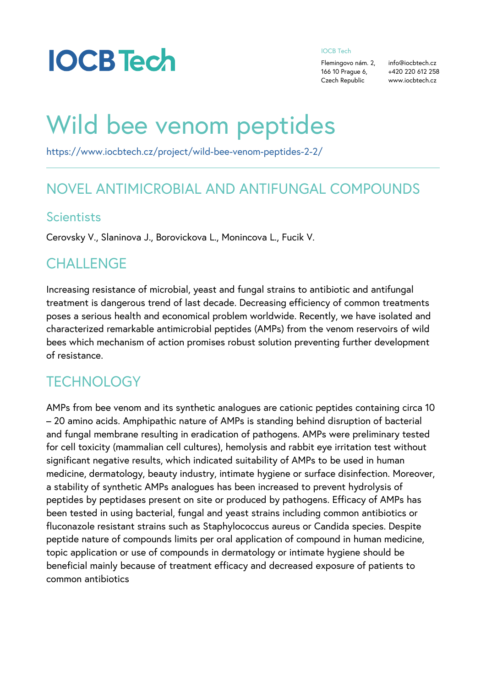#### IOCB Tech

Flemingovo nám. fo@iocbtech.cz 166 10 Prague +64,20 220 612 258 Czech Republicwww.iocbtech.cz

# Wild bee venom peptide

[https://www.iocbtech.cz/project/wild-bee-venom-peptides](https://www.iocbtech.cz/project/wild-bee-venom-peptides-2-2/)-2-2/

#### NOVEL ANTIMICROBIAL AND ANTIFUNGAL

#### Scientists

Cerovsky V., Slaninova J., Borovickova L., Monincova L., Fucil

#### CHALLENGE

Increasing resistance of microbial, yeast and fungal strains to treatment is dangerous trend of last decade. Decreasing effici poses a serious health and economical problem worldwide. Rec characterized remarkable antimicrobial peptides (AMPs) from t bees which mechanism of action promises robust solution prevention of resistance.

## **TECHNOLOGY**

AMPs from bee venom and its synthetic analogues are cationic 20 amino acids. Amphipathic nature of AMPs is standing behi and fungal membrane resulting in eradication of pathogens. AM for cell toxicity (mammalian cell cultures), hemolysis and rabb significant negative results, which indicated suitability of AMP medicine, dermatology, beauty industry, intimate hygiene or su a stability of synthetic AMPs analogues has been increased to peptides by peptidases present on site or produced by pathoge been tested in using bacterial, fungal and yeast strains includ fluconazole resistant strains such as Staphylococcus aureus o peptide nature of compounds limits per oral application of com topic application or use of compounds in dermatology or intima beneficial mainly because of treatment efficacy and decreased common antibiotics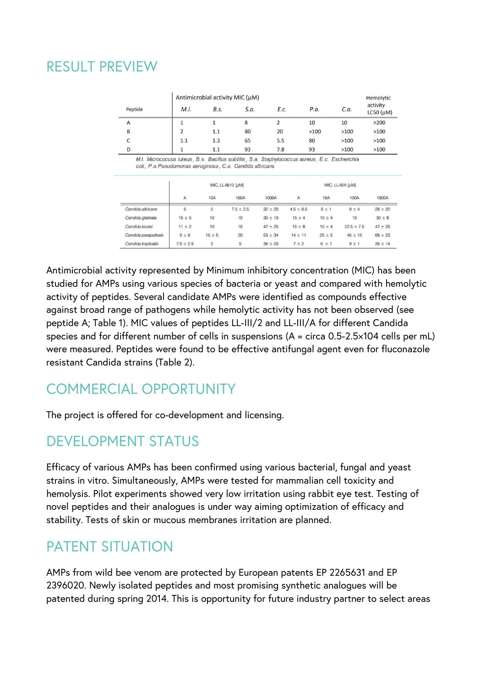# RESULT PREVIEW

|         | Antimicrobial activity MIC (µM) | Hemolytic |      |      |      |      |                           |
|---------|---------------------------------|-----------|------|------|------|------|---------------------------|
| Peptide | M.I.                            | B.s.      | S.a. | E.c. | P.a. | C.a. | activity<br>$LCSO(\mu M)$ |
| A       |                                 |           | 8    |      | 10   | 10   | >200                      |
| в       |                                 | 1.1       | 80   | 20   | >100 | >100 | >100                      |
| C       | 1.1                             | 1.3       | 65   | 5.5  | 80   | >100 | >100                      |
| D       |                                 | 1.1       | 93   | 7.8  | 93   | >100 | >100                      |

M.I. Micrococcus luteus, B.s. Bacillus subtilis, S.a. Staphylococcus aureus, E.c. Escherichia coli, P.a. Pseudomonas aeruginosa, C.a. Candida albicans

|                      |                |            | MIC, LL-III/12 [µM] |             | MIC, LL-III/A [µM] |            |                |             |
|----------------------|----------------|------------|---------------------|-------------|--------------------|------------|----------------|-------------|
|                      | $\overline{A}$ | <b>10A</b> | 100A                | 1000A       | A                  | <b>10A</b> | 100A           | 1000A       |
| Candida albicans     | 5              | 5          | $7.5 \pm 2.5$       | $32 \pm 20$ | $4.5 \pm 0.5$      | 6 ± 1      | $9 \pm 4$      | $28 \pm 22$ |
| Candida glabrata     | $15 \pm 5$     | 10         | 10                  | $30 \pm 10$ | $15 \pm 4$         | $15 \pm 4$ | 15             | $30 \pm 8$  |
| Candida krusei       | $11 \pm 2$     | 10         | 10                  | $47 \pm 25$ | $15 \pm 8$         | $15 \pm 4$ | $22.5 \pm 7.5$ | $47 \pm 25$ |
| Candida parapsilosis | $9 \pm 6$      | $15 \pm 5$ | 20                  | $53 \pm 34$ | $14 \pm 11$        | $25 \pm 5$ | $45 \pm 15$    | $68 \pm 23$ |
| Candida tropicalis   | $7.5 \pm 2.5$  | 5          | 5                   | $36 \pm 20$ | $7 \pm 2$          | 6±1        | $9 \pm 1$      | $26 \pm 14$ |

Antimicrobial activity represented by Minimum inhibitory concentration (MIC) has been studied for AMPs using various species of bacteria or yeast and compared with hemolytic activity of peptides. Several candidate AMPs were identified as compounds effective against broad range of pathogens while hemolytic activity has not been observed (see peptide A; Table 1). MIC values of peptides LL-III/2 and LL-III/A for different Candida species and for different number of cells in suspensions (A = circa 0.5-2.5×104 cells per mL) were measured. Peptides were found to be effective antifungal agent even for fluconazole resistant Candida strains (Table 2).

# COMMERCIAL OPPORTUNITY

The project is offered for co-development and licensing.

# DEVELOPMENT STATUS

Efficacy of various AMPs has been confirmed using various bacterial, fungal and yeast strains in vitro. Simultaneously, AMPs were tested for mammalian cell toxicity and hemolysis. Pilot experiments showed very low irritation using rabbit eye test. Testing of novel peptides and their analogues is under way aiming optimization of efficacy and stability. Tests of skin or mucous membranes irritation are planned.

# PATENT SITUATION

AMPs from wild bee venom are protected by European patents EP 2265631 and EP 2396020. Newly isolated peptides and most promising synthetic analogues will be patented during spring 2014. This is opportunity for future industry partner to select areas